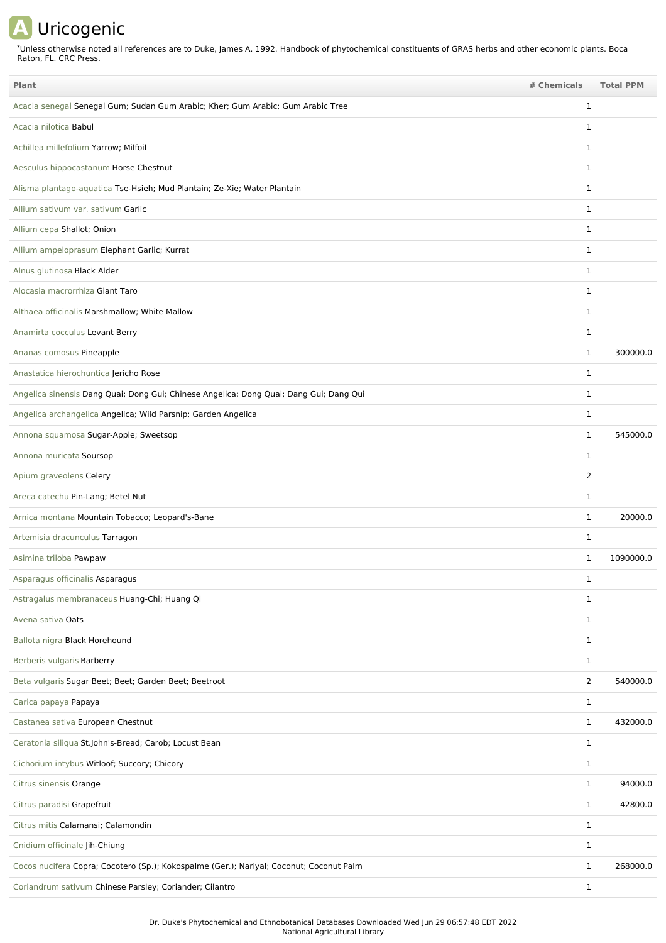## **A** Uricogenic

Unless otherwise noted all references are to Duke, James A. 1992. Handbook of phytochemical constituents of GRAS herbs and other economic plants. Boca Raton, FL. CRC Press. \*

| Plant                                                                                   | # Chemicals    | <b>Total PPM</b> |
|-----------------------------------------------------------------------------------------|----------------|------------------|
| Acacia senegal Senegal Gum; Sudan Gum Arabic; Kher; Gum Arabic; Gum Arabic Tree         | 1              |                  |
| Acacia nilotica Babul                                                                   | 1              |                  |
| Achillea millefolium Yarrow; Milfoil                                                    | 1              |                  |
| Aesculus hippocastanum Horse Chestnut                                                   | 1              |                  |
| Alisma plantago-aquatica Tse-Hsieh; Mud Plantain; Ze-Xie; Water Plantain                | $\mathbf 1$    |                  |
| Allium sativum var. sativum Garlic                                                      | $\mathbf{1}$   |                  |
| Allium cepa Shallot; Onion                                                              | $\mathbf 1$    |                  |
| Allium ampeloprasum Elephant Garlic; Kurrat                                             | $\mathbf 1$    |                  |
| Alnus glutinosa Black Alder                                                             | 1              |                  |
| Alocasia macrorrhiza Giant Taro                                                         | $\mathbf{1}$   |                  |
| Althaea officinalis Marshmallow; White Mallow                                           | 1              |                  |
| Anamirta cocculus Levant Berry                                                          | 1              |                  |
| Ananas comosus Pineapple                                                                | $\mathbf{1}$   | 300000.0         |
| Anastatica hierochuntica Jericho Rose                                                   | $\mathbf{1}$   |                  |
| Angelica sinensis Dang Quai; Dong Gui; Chinese Angelica; Dong Quai; Dang Gui; Dang Qui  | $\mathbf{1}$   |                  |
| Angelica archangelica Angelica; Wild Parsnip; Garden Angelica                           | $\mathbf{1}$   |                  |
| Annona squamosa Sugar-Apple; Sweetsop                                                   | 1              | 545000.0         |
| Annona muricata Soursop                                                                 | $\mathbf 1$    |                  |
| Apium graveolens Celery                                                                 | 2              |                  |
| Areca catechu Pin-Lang; Betel Nut                                                       | 1              |                  |
| Arnica montana Mountain Tobacco; Leopard's-Bane                                         | $\mathbf{1}$   | 20000.0          |
| Artemisia dracunculus Tarragon                                                          | 1              |                  |
| Asimina triloba Pawpaw                                                                  | 1              | 1090000.0        |
| Asparagus officinalis Asparagus                                                         | 1              |                  |
| Astragalus membranaceus Huang-Chi; Huang Qi                                             | 1              |                  |
| Avena sativa Oats                                                                       | $\mathbf{1}$   |                  |
| Ballota nigra Black Horehound                                                           | $\mathbf{1}$   |                  |
| Berberis vulgaris Barberry                                                              | $\mathbf{1}$   |                  |
| Beta vulgaris Sugar Beet; Beet; Garden Beet; Beetroot                                   | $\overline{2}$ | 540000.0         |
| Carica papaya Papaya                                                                    | $\mathbf{1}$   |                  |
| Castanea sativa European Chestnut                                                       | $\mathbf{1}$   | 432000.0         |
| Ceratonia siliqua St.John's-Bread; Carob; Locust Bean                                   | $\mathbf{1}$   |                  |
| Cichorium intybus Witloof; Succory; Chicory                                             | $\mathbf{1}$   |                  |
| Citrus sinensis Orange                                                                  | $\mathbf{1}$   | 94000.0          |
| Citrus paradisi Grapefruit                                                              | $\mathbf{1}$   | 42800.0          |
| Citrus mitis Calamansi; Calamondin                                                      | $\mathbf{1}$   |                  |
| Cnidium officinale Jih-Chiung                                                           | $\mathbf{1}$   |                  |
| Cocos nucifera Copra; Cocotero (Sp.); Kokospalme (Ger.); Nariyal; Coconut; Coconut Palm | $\mathbf{1}$   | 268000.0         |
| Coriandrum sativum Chinese Parsley; Coriander; Cilantro                                 | $\mathbf{1}$   |                  |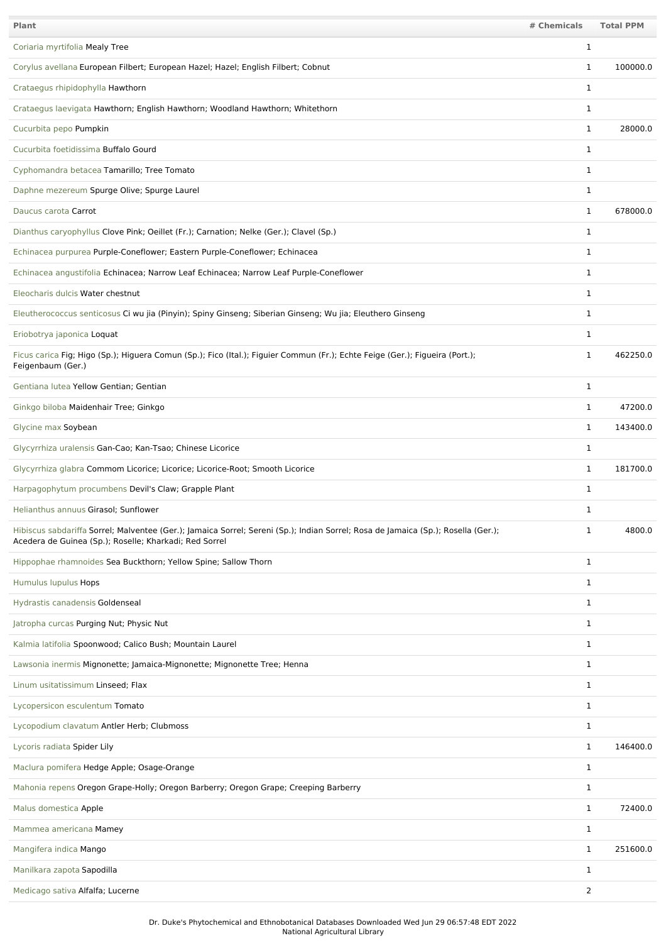| Plant                                                                                                                                                                                       | # Chemicals    | <b>Total PPM</b> |
|---------------------------------------------------------------------------------------------------------------------------------------------------------------------------------------------|----------------|------------------|
| Coriaria myrtifolia Mealy Tree                                                                                                                                                              | $\mathbf 1$    |                  |
| Corylus avellana European Filbert; European Hazel; Hazel; English Filbert; Cobnut                                                                                                           | $\mathbf{1}$   | 100000.0         |
| Crataegus rhipidophylla Hawthorn                                                                                                                                                            | $\mathbf 1$    |                  |
| Crataegus laevigata Hawthorn; English Hawthorn; Woodland Hawthorn; Whitethorn                                                                                                               | 1              |                  |
| Cucurbita pepo Pumpkin                                                                                                                                                                      | $\mathbf 1$    | 28000.0          |
| Cucurbita foetidissima Buffalo Gourd                                                                                                                                                        | $\mathbf 1$    |                  |
| Cyphomandra betacea Tamarillo; Tree Tomato                                                                                                                                                  | $\mathbf 1$    |                  |
| Daphne mezereum Spurge Olive; Spurge Laurel                                                                                                                                                 | $\mathbf 1$    |                  |
| Daucus carota Carrot                                                                                                                                                                        | 1              | 678000.0         |
| Dianthus caryophyllus Clove Pink; Oeillet (Fr.); Carnation; Nelke (Ger.); Clavel (Sp.)                                                                                                      | $\mathbf{1}$   |                  |
| Echinacea purpurea Purple-Coneflower; Eastern Purple-Coneflower; Echinacea                                                                                                                  | 1              |                  |
| Echinacea angustifolia Echinacea; Narrow Leaf Echinacea; Narrow Leaf Purple-Coneflower                                                                                                      | 1              |                  |
| Eleocharis dulcis Water chestnut                                                                                                                                                            | 1              |                  |
| Eleutherococcus senticosus Ci wu jia (Pinyin); Spiny Ginseng; Siberian Ginseng; Wu jia; Eleuthero Ginseng                                                                                   | $\mathbf 1$    |                  |
| Eriobotrya japonica Loquat                                                                                                                                                                  | 1              |                  |
| Ficus carica Fig; Higo (Sp.); Higuera Comun (Sp.); Fico (Ital.); Figuier Commun (Fr.); Echte Feige (Ger.); Figueira (Port.);<br>Feigenbaum (Ger.)                                           | $\mathbf 1$    | 462250.0         |
| Gentiana lutea Yellow Gentian; Gentian                                                                                                                                                      | 1              |                  |
| Ginkgo biloba Maidenhair Tree; Ginkgo                                                                                                                                                       | 1              | 47200.0          |
| Glycine max Soybean                                                                                                                                                                         | $\mathbf{1}$   | 143400.0         |
| Glycyrrhiza uralensis Gan-Cao; Kan-Tsao; Chinese Licorice                                                                                                                                   | $\mathbf 1$    |                  |
| Glycyrrhiza glabra Commom Licorice; Licorice; Licorice-Root; Smooth Licorice                                                                                                                | 1              | 181700.0         |
| Harpagophytum procumbens Devil's Claw; Grapple Plant                                                                                                                                        | $\mathbf 1$    |                  |
| Helianthus annuus Girasol; Sunflower                                                                                                                                                        | $\mathbf 1$    |                  |
| Hibiscus sabdariffa Sorrel; Malventee (Ger.); Jamaica Sorrel; Sereni (Sp.); Indian Sorrel; Rosa de Jamaica (Sp.); Rosella (Ger.);<br>Acedera de Guinea (Sp.); Roselle; Kharkadi; Red Sorrel | $\mathbf 1$    | 4800.0           |
| Hippophae rhamnoides Sea Buckthorn; Yellow Spine; Sallow Thorn                                                                                                                              | $\mathbf 1$    |                  |
| Humulus lupulus Hops                                                                                                                                                                        | 1              |                  |
| Hydrastis canadensis Goldenseal                                                                                                                                                             | 1              |                  |
| Jatropha curcas Purging Nut; Physic Nut                                                                                                                                                     | $\mathbf 1$    |                  |
| Kalmia latifolia Spoonwood; Calico Bush; Mountain Laurel                                                                                                                                    | 1              |                  |
| Lawsonia inermis Mignonette; Jamaica-Mignonette; Mignonette Tree; Henna                                                                                                                     | 1              |                  |
| Linum usitatissimum Linseed; Flax                                                                                                                                                           | 1              |                  |
| Lycopersicon esculentum Tomato                                                                                                                                                              | $\mathbf 1$    |                  |
| Lycopodium clavatum Antler Herb; Clubmoss                                                                                                                                                   | $\mathbf 1$    |                  |
| Lycoris radiata Spider Lily                                                                                                                                                                 | $\mathbf{1}$   | 146400.0         |
| Maclura pomifera Hedge Apple; Osage-Orange                                                                                                                                                  | $\mathbf 1$    |                  |
| Mahonia repens Oregon Grape-Holly; Oregon Barberry; Oregon Grape; Creeping Barberry                                                                                                         | $\mathbf 1$    |                  |
| Malus domestica Apple                                                                                                                                                                       | $\mathbf 1$    | 72400.0          |
| Mammea americana Mamey                                                                                                                                                                      | 1              |                  |
| Mangifera indica Mango                                                                                                                                                                      | 1              | 251600.0         |
| Manilkara zapota Sapodilla                                                                                                                                                                  | $\mathbf 1$    |                  |
| Medicago sativa Alfalfa; Lucerne                                                                                                                                                            | $\overline{2}$ |                  |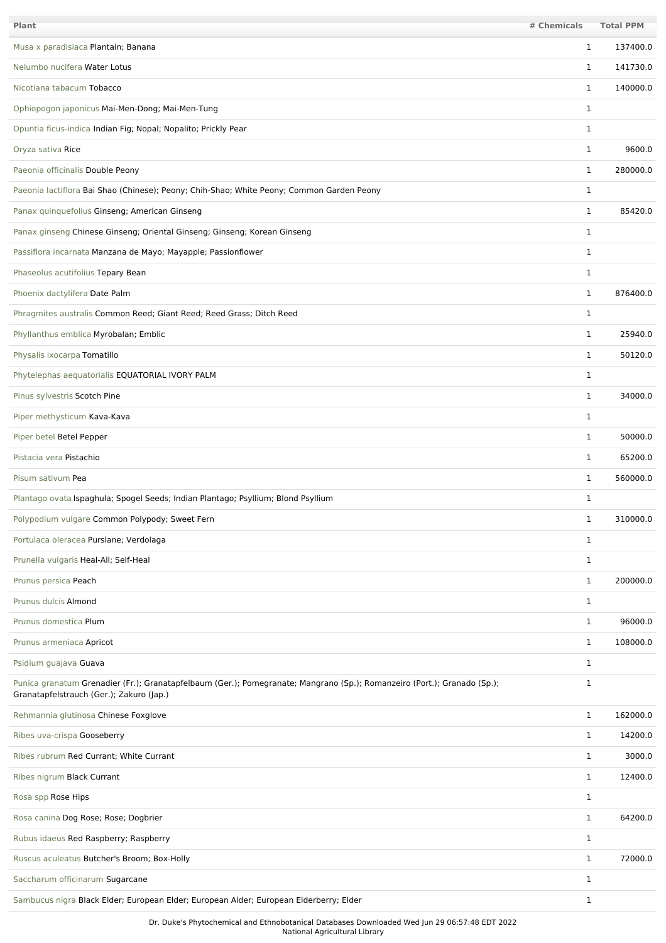| Plant                                                                                                                                                                | # Chemicals  | <b>Total PPM</b> |
|----------------------------------------------------------------------------------------------------------------------------------------------------------------------|--------------|------------------|
| Musa x paradisiaca Plantain; Banana                                                                                                                                  | 1            | 137400.0         |
| Nelumbo nucifera Water Lotus                                                                                                                                         | 1            | 141730.0         |
| Nicotiana tabacum Tobacco                                                                                                                                            | 1            | 140000.0         |
| Ophiopogon japonicus Mai-Men-Dong; Mai-Men-Tung                                                                                                                      | 1            |                  |
| Opuntia ficus-indica Indian Fig; Nopal; Nopalito; Prickly Pear                                                                                                       | 1            |                  |
| Oryza sativa Rice                                                                                                                                                    | 1            | 9600.0           |
| Paeonia officinalis Double Peony                                                                                                                                     | $\mathbf{1}$ | 280000.0         |
| Paeonia lactiflora Bai Shao (Chinese); Peony; Chih-Shao; White Peony; Common Garden Peony                                                                            | $\mathbf{1}$ |                  |
| Panax quinquefolius Ginseng; American Ginseng                                                                                                                        | 1            | 85420.0          |
| Panax ginseng Chinese Ginseng; Oriental Ginseng; Ginseng; Korean Ginseng                                                                                             | 1            |                  |
| Passiflora incarnata Manzana de Mayo; Mayapple; Passionflower                                                                                                        | $\mathbf{1}$ |                  |
| Phaseolus acutifolius Tepary Bean                                                                                                                                    | $\mathbf{1}$ |                  |
| Phoenix dactylifera Date Palm                                                                                                                                        | $\mathbf{1}$ | 876400.0         |
| Phragmites australis Common Reed; Giant Reed; Reed Grass; Ditch Reed                                                                                                 | $\mathbf{1}$ |                  |
| Phyllanthus emblica Myrobalan; Emblic                                                                                                                                | 1            | 25940.0          |
| Physalis ixocarpa Tomatillo                                                                                                                                          | $\mathbf{1}$ | 50120.0          |
| Phytelephas aequatorialis EQUATORIAL IVORY PALM                                                                                                                      | 1            |                  |
| Pinus sylvestris Scotch Pine                                                                                                                                         | $\mathbf{1}$ | 34000.0          |
| Piper methysticum Kava-Kava                                                                                                                                          | 1            |                  |
| Piper betel Betel Pepper                                                                                                                                             | $\mathbf{1}$ | 50000.0          |
| Pistacia vera Pistachio                                                                                                                                              | $\mathbf{1}$ | 65200.0          |
| Pisum sativum Pea                                                                                                                                                    | 1            | 560000.0         |
| Plantago ovata Ispaghula; Spogel Seeds; Indian Plantago; Psyllium; Blond Psyllium                                                                                    | 1            |                  |
| Polypodium vulgare Common Polypody; Sweet Fern                                                                                                                       | ı            | 310000.0         |
| Portulaca oleracea Purslane; Verdolaga                                                                                                                               | $\mathbf{1}$ |                  |
| Prunella vulgaris Heal-All; Self-Heal                                                                                                                                | $\mathbf{1}$ |                  |
| Prunus persica Peach                                                                                                                                                 | 1            | 200000.0         |
| Prunus dulcis Almond                                                                                                                                                 | 1            |                  |
| Prunus domestica Plum                                                                                                                                                | 1            | 96000.0          |
| Prunus armeniaca Apricot                                                                                                                                             | $\mathbf{1}$ | 108000.0         |
| Psidium guajava Guava                                                                                                                                                | $\mathbf{1}$ |                  |
| Punica granatum Grenadier (Fr.); Granatapfelbaum (Ger.); Pomegranate; Mangrano (Sp.); Romanzeiro (Port.); Granado (Sp.);<br>Granatapfelstrauch (Ger.); Zakuro (Jap.) | 1            |                  |
| Rehmannia glutinosa Chinese Foxglove                                                                                                                                 | $\mathbf{1}$ | 162000.0         |
| Ribes uva-crispa Gooseberry                                                                                                                                          | 1            | 14200.0          |
| Ribes rubrum Red Currant; White Currant                                                                                                                              | $\mathbf{1}$ | 3000.0           |
| Ribes nigrum Black Currant                                                                                                                                           | $\mathbf{1}$ | 12400.0          |
| Rosa spp Rose Hips                                                                                                                                                   | $\mathbf{1}$ |                  |
| Rosa canina Dog Rose; Rose; Dogbrier                                                                                                                                 | 1            | 64200.0          |
| Rubus idaeus Red Raspberry; Raspberry                                                                                                                                | 1            |                  |
| Ruscus aculeatus Butcher's Broom; Box-Holly                                                                                                                          | $\mathbf{1}$ | 72000.0          |
| Saccharum officinarum Sugarcane                                                                                                                                      | 1            |                  |
| Sambucus nigra Black Elder; European Elder; European Alder; European Elderberry; Elder                                                                               | $\mathbf{1}$ |                  |